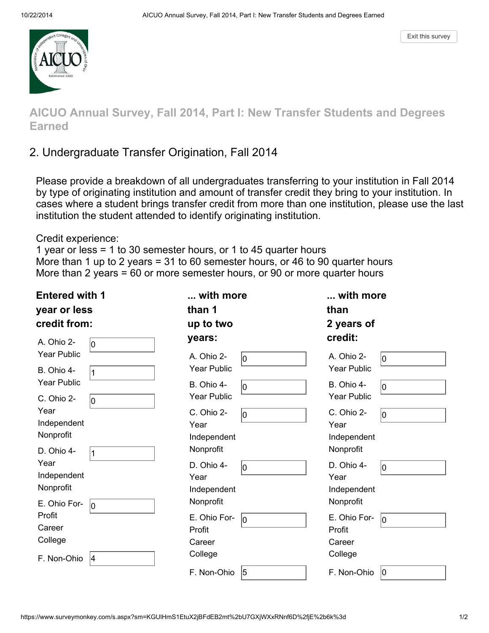

AICUO Annual Survey, Fall 2014, Part I: New Transfer Students and Degrees Earned

# 2. Undergraduate Transfer Origination, Fall 2014

Please provide a breakdown of all undergraduates transferring to your institution in Fall 2014 by type of originating institution and amount of transfer credit they bring to your institution. In cases where a student brings transfer credit from more than one institution, please use the last institution the student attended to identify originating institution.

Credit experience:

1 year or less = 1 to 30 semester hours, or 1 to 45 quarter hours More than 1 up to 2 years = 31 to 60 semester hours, or 46 to 90 quarter hours More than 2 years = 60 or more semester hours, or 90 or more quarter hours

| <b>Entered with 1</b><br>year or less<br>credit from: |              | with more<br>than 1<br>up to two               |    | with more<br>than<br>2 years of                |     |
|-------------------------------------------------------|--------------|------------------------------------------------|----|------------------------------------------------|-----|
| A. Ohio 2-<br><b>Year Public</b><br>B. Ohio 4-        | 10           | years:<br>A. Ohio 2-<br><b>Year Public</b>     | Iо | credit:<br>A. Ohio 2-<br><b>Year Public</b>    | 10  |
| <b>Year Public</b><br>C. Ohio 2-                      | 11<br>10     | B. Ohio 4-<br><b>Year Public</b>               | Iо | B. Ohio 4-<br><b>Year Public</b>               | 10  |
| Year<br>Independent<br>Nonprofit<br>D. Ohio 4-        |              | C. Ohio 2-<br>Year<br>Independent<br>Nonprofit | lo | C. Ohio 2-<br>Year<br>Independent<br>Nonprofit | lo. |
| Year<br>Independent<br>Nonprofit<br>E. Ohio For-      | l1           | D. Ohio 4-<br>Year<br>Independent<br>Nonprofit | Iо | D. Ohio 4-<br>Year<br>Independent<br>Nonprofit | 10  |
| Profit<br>Career<br>College                           | lо           | E. Ohio For-<br>Profit<br>Career<br>College    | lо | E. Ohio For-<br>Profit<br>Career<br>College    | 10  |
| F. Non-Ohio                                           | <sup>4</sup> | F. Non-Ohio                                    | 5  | F. Non-Ohio                                    | 10  |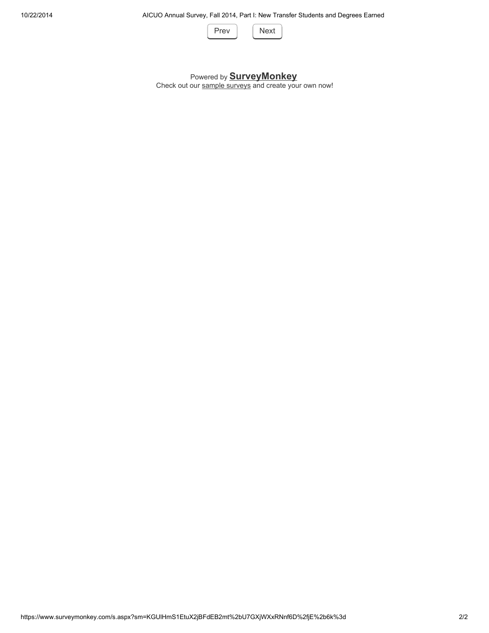

#### Powered by **SurveyMonkey**

Check out our sample surveys and create your own now!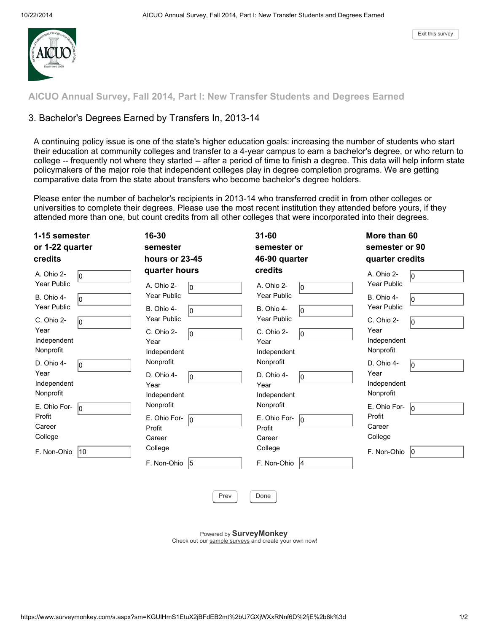

AICUO Annual Survey, Fall 2014, Part I: New Transfer Students and Degrees Earned

#### 3. Bachelor's Degrees Earned by Transfers In, 2013-14

A continuing policy issue is one of the state's higher education goals: increasing the number of students who start their education at community colleges and transfer to a 4-year campus to earn a bachelor's degree, or who return to college -- frequently not where they started -- after a period of time to finish a degree. This data will help inform state policymakers of the major role that independent colleges play in degree completion programs. We are getting comparative data from the state about transfers who become bachelor's degree holders.

Please enter the number of bachelor's recipients in 2013-14 who transferred credit in from other colleges or universities to complete their degrees. Please use the most recent institution they attended before yours, if they attended more than one, but count credits from all other colleges that were incorporated into their degrees.

| 1-15 semester<br>or 1-22 quarter<br>credits                                                                                                                                                                                                                                           | 16-30<br>semester<br>hours or 23-45                                                                                                                                                                                                                                                  | $31 - 60$<br>semester or<br>46-90 quarter                                                                                                                                                                                                                                                 | More than 60<br>semester or 90<br>quarter credits                                                                                                                                                                                                                          |
|---------------------------------------------------------------------------------------------------------------------------------------------------------------------------------------------------------------------------------------------------------------------------------------|--------------------------------------------------------------------------------------------------------------------------------------------------------------------------------------------------------------------------------------------------------------------------------------|-------------------------------------------------------------------------------------------------------------------------------------------------------------------------------------------------------------------------------------------------------------------------------------------|----------------------------------------------------------------------------------------------------------------------------------------------------------------------------------------------------------------------------------------------------------------------------|
| A. Ohio 2-<br>l0<br><b>Year Public</b><br>B. Ohio 4-<br>l0<br><b>Year Public</b><br>C. Ohio 2-<br>l0<br>Year<br>Independent<br>Nonprofit<br>D. Ohio 4-<br>l0<br>Year<br>Independent<br>Nonprofit<br>E. Ohio For-<br>lo.<br>Profit<br>Career<br>College<br>$ 10\rangle$<br>F. Non-Ohio | quarter hours<br>A. Ohio 2-<br>l0<br><b>Year Public</b><br>B. Ohio 4-<br>l0<br>Year Public<br>C. Ohio 2-<br>l0<br>Year<br>Independent<br>Nonprofit<br>D. Ohio 4-<br>l0<br>Year<br>Independent<br>Nonprofit<br>E. Ohio For-<br>l0<br>Profit<br>Career<br>College<br>F. Non-Ohio<br>15 | credits<br>A. Ohio 2-<br>lo.<br><b>Year Public</b><br>B. Ohio 4-<br>10<br>Year Public<br>C. Ohio 2-<br>lo.<br>Year<br>Independent<br>Nonprofit<br>D. Ohio 4-<br>lo.<br>Year<br>Independent<br>Nonprofit<br>E. Ohio For-<br>lo.<br>Profit<br>Career<br>College<br>F. Non-Ohio<br><b>14</b> | A. Ohio 2-<br>l0<br><b>Year Public</b><br>B. Ohio 4-<br>l0<br><b>Year Public</b><br>C. Ohio 2-<br>10<br>Year<br>Independent<br>Nonprofit<br>D. Ohio 4-<br>l0<br>Year<br>Independent<br>Nonprofit<br>E. Ohio For-<br>l0<br>Profit<br>Career<br>College<br>F. Non-Ohio $ 0 $ |
|                                                                                                                                                                                                                                                                                       |                                                                                                                                                                                                                                                                                      |                                                                                                                                                                                                                                                                                           |                                                                                                                                                                                                                                                                            |

Prev | Done

Powered by SurveyMonkey

Check out our sample surveys and create your own now!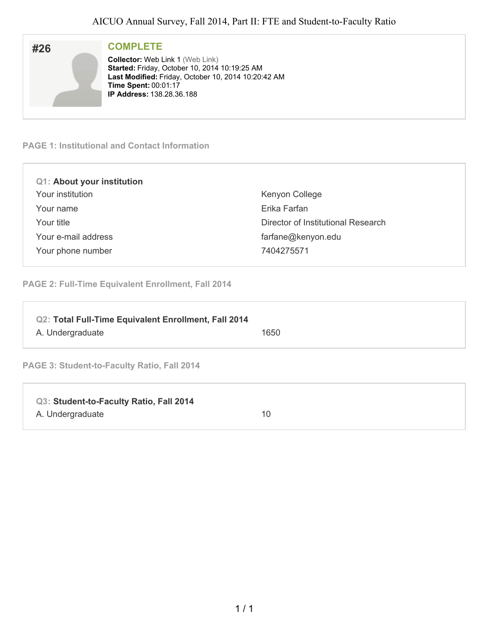| #26 | <b>COMPLETE</b>                                     |
|-----|-----------------------------------------------------|
|     | <b>Collector: Web Link 1 (Web Link)</b>             |
|     | Started: Friday, October 10, 2014 10:19:25 AM       |
|     | Last Modified: Friday, October 10, 2014 10:20:42 AM |
|     | <b>Time Spent: 00:01:17</b>                         |
|     | <b>IP Address: 138.28.36.188</b>                    |
|     |                                                     |

#### **PAGE 1: Institutional and Contact Information**

| <b>Q1: About your institution</b> |                                    |
|-----------------------------------|------------------------------------|
| Your institution                  | Kenyon College                     |
| Your name                         | Erika Farfan                       |
| Your title                        | Director of Institutional Research |
| Your e-mail address               | farfane@kenyon.edu                 |
| Your phone number                 | 7404275571                         |
|                                   |                                    |

**PAGE 2: Full-Time Equivalent Enrollment, Fall 2014**

| Q2: Total Full-Time Equivalent Enrollment, Fall 2014<br>A. Undergraduate | 1650 |
|--------------------------------------------------------------------------|------|
| <b>PAGE 3: Student-to-Faculty Ratio, Fall 2014</b>                       |      |

| Q3: Student-to-Faculty Ratio, Fall 2014 |    |
|-----------------------------------------|----|
| A. Undergraduate                        | 10 |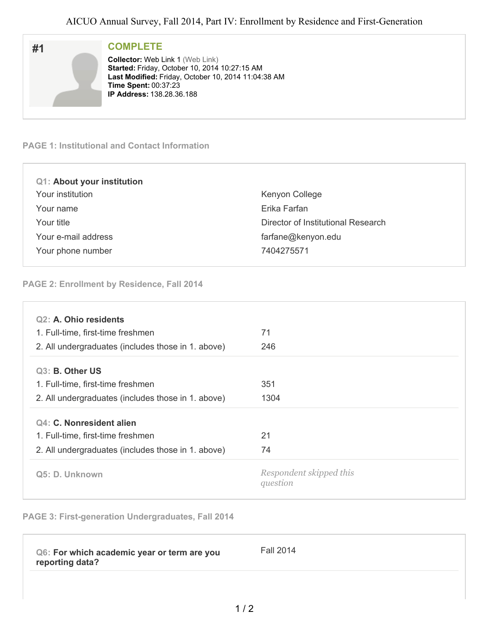| #1 | <b>COMPLETE</b>                                                                                                                                 |
|----|-------------------------------------------------------------------------------------------------------------------------------------------------|
|    | <b>Collector: Web Link 1 (Web Link)</b><br>Started: Friday, October 10, 2014 10:27:15 AM<br>Last Modified: Friday, October 10, 2014 11:04:38 AM |
|    | <b>Time Spent: 00:37:23</b><br><b>IP Address: 138.28.36.188</b>                                                                                 |

#### **PAGE 1: Institutional and Contact Information**

| <b>Q1: About your institution</b> |                                    |
|-----------------------------------|------------------------------------|
| Your institution                  | Kenyon College                     |
| Your name                         | Erika Farfan                       |
| Your title                        | Director of Institutional Research |
| Your e-mail address               | farfane@kenyon.edu                 |
| Your phone number                 | 7404275571                         |
|                                   |                                    |

#### **PAGE 2: Enrollment by Residence, Fall 2014**

| Q <sub>2</sub> : A. Ohio residents                 |                                     |
|----------------------------------------------------|-------------------------------------|
| 1. Full-time, first-time freshmen                  | 71                                  |
| 2. All undergraduates (includes those in 1. above) | 246                                 |
| Q3: B. Other US                                    |                                     |
| 1. Full-time, first-time freshmen                  | 351                                 |
| 2. All undergraduates (includes those in 1. above) | 1304                                |
| Q4: C. Nonresident alien                           |                                     |
| 1. Full-time, first-time freshmen                  | 21                                  |
| 2. All undergraduates (includes those in 1. above) | 74                                  |
| Q5: D. Unknown                                     | Respondent skipped this<br>question |

## **PAGE 3: First-generation Undergraduates, Fall 2014**

| Q6: For which academic year or term are you<br>reporting data? | <b>Fall 2014</b> |
|----------------------------------------------------------------|------------------|
|                                                                |                  |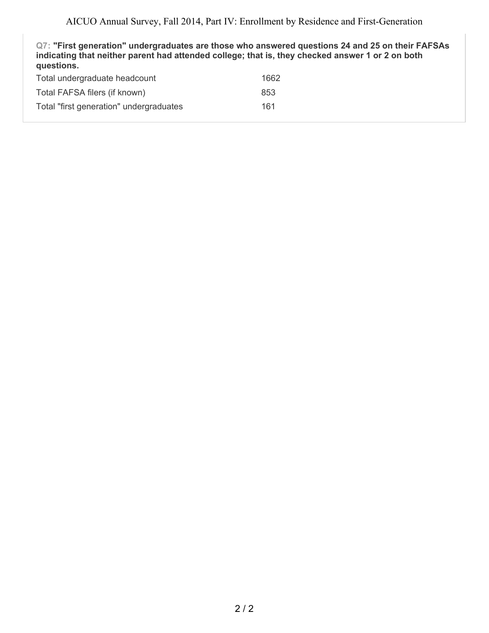**Q7: "First generation" undergraduates are those who answered questions 24 and 25 on their FAFSAs indicating that neither parent had attended college; that is, they checked answer 1 or 2 on both questions.** Total undergraduate headcount and the 1662

| Total FAFSA filers (if known)           | 853 |
|-----------------------------------------|-----|
| Total "first generation" undergraduates | 161 |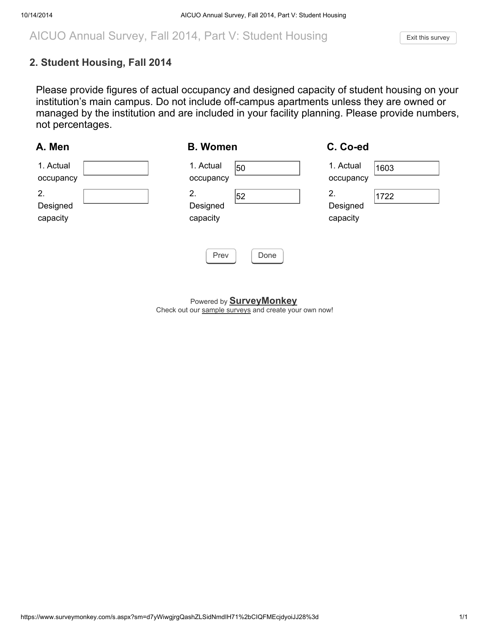# AICUO Annual Survey, Fall 2014, Part V: Student Housing Fixit this [survey](https://www.surveymonkey.com/survey-thanks/?sm=NLlZKnaSdH3Yl9UVG63KMkCuckoUb9XA6qEgXdM5Mxw%3d)

## 2. Student Housing, Fall 2014

Please provide figures of actual occupancy and designed capacity of student housing on your institution's main campus. Do not include off-campus apartments unless they are owned or managed by the institution and are included in your facility planning. Please provide numbers, not percentages.

| A. Men                     | <b>B. Women</b>                  | C. Co-ed                           |
|----------------------------|----------------------------------|------------------------------------|
| 1. Actual<br>occupancy     | 1. Actual<br>50<br>occupancy     | 1. Actual<br>1603<br>occupancy     |
| 2.<br>Designed<br>capacity | 2.<br>52<br>Designed<br>capacity | 2.<br>1722<br>Designed<br>capacity |
|                            | Prev<br>Done                     |                                    |

Powered by **SurveyMonkey** Check out our sample surveys and create your own now!